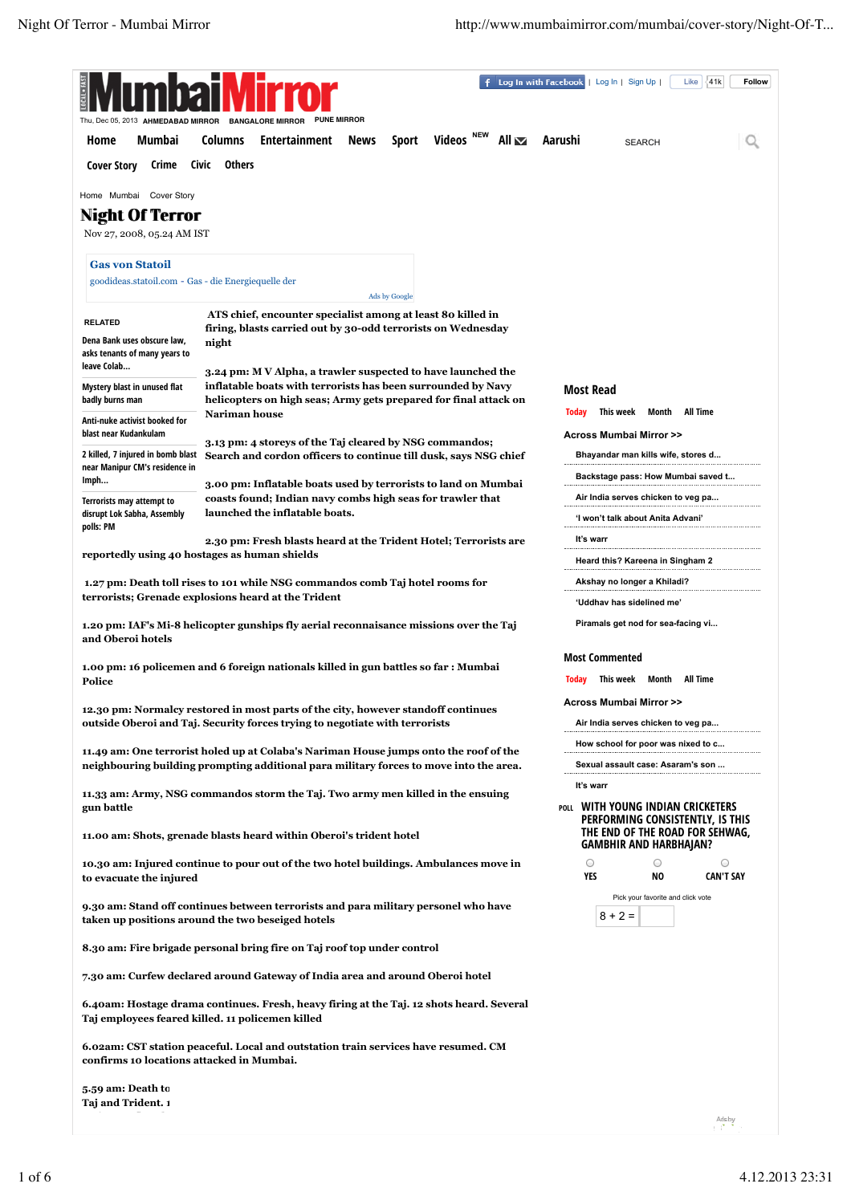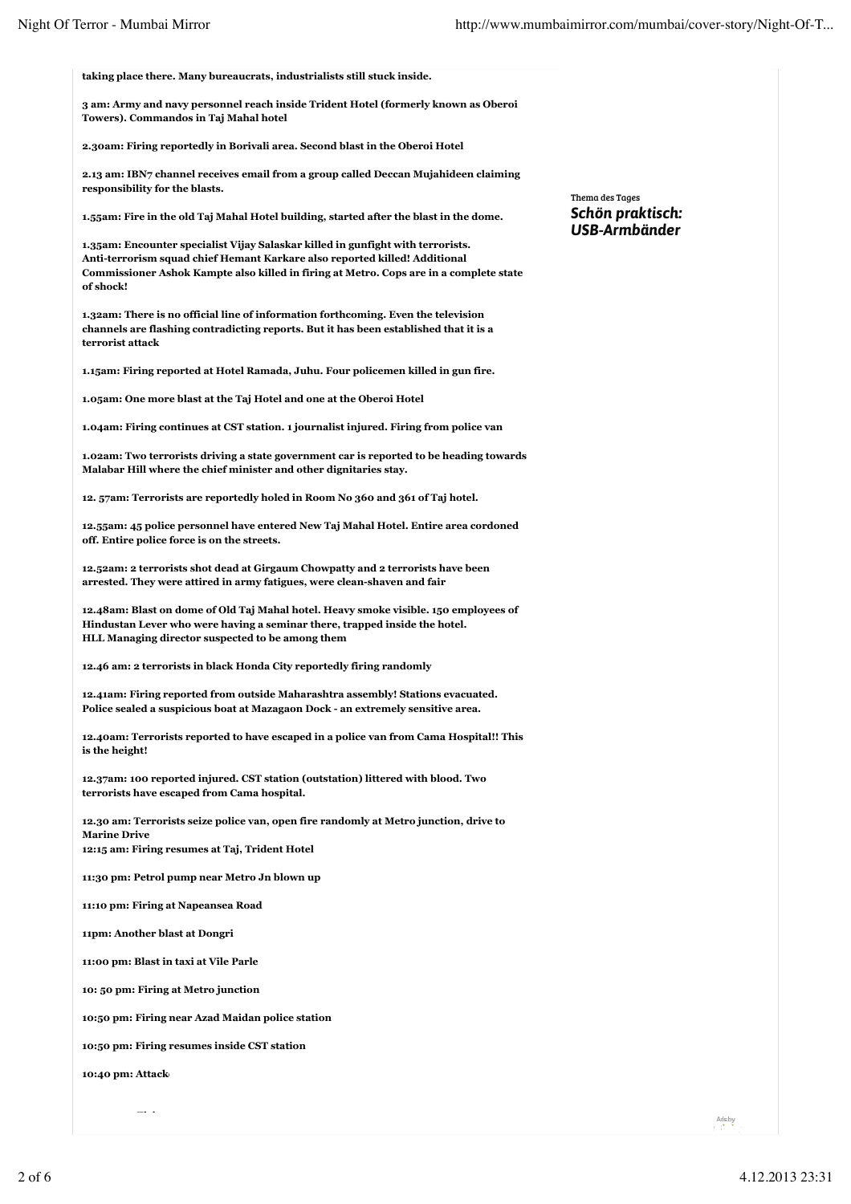| taking place there. Many bureaucrats, industrialists still stuck inside.                                                                                                                                                                                             |                                   |
|----------------------------------------------------------------------------------------------------------------------------------------------------------------------------------------------------------------------------------------------------------------------|-----------------------------------|
| 3 am: Army and navy personnel reach inside Trident Hotel (formerly known as Oberoi<br>Towers). Commandos in Taj Mahal hotel                                                                                                                                          |                                   |
| 2.30am: Firing reportedly in Borivali area. Second blast in the Oberoi Hotel                                                                                                                                                                                         |                                   |
| 2.13 am: IBN7 channel receives email from a group called Deccan Mujahideen claiming<br>responsibility for the blasts.                                                                                                                                                | Thema des Tages                   |
| 1.55am: Fire in the old Taj Mahal Hotel building, started after the blast in the dome.                                                                                                                                                                               | Schön praktisch:<br>USB-Armbänder |
| 1.35am: Encounter specialist Vijay Salaskar killed in gunfight with terrorists.<br>Anti-terrorism squad chief Hemant Karkare also reported killed! Additional<br>Commissioner Ashok Kampte also killed in firing at Metro. Cops are in a complete state<br>of shock! |                                   |
| 1.32am: There is no official line of information forthcoming. Even the television<br>channels are flashing contradicting reports. But it has been established that it is a<br>terrorist attack                                                                       |                                   |
| 1.15am: Firing reported at Hotel Ramada, Juhu. Four policemen killed in gun fire.                                                                                                                                                                                    |                                   |
| 1.05am: One more blast at the Taj Hotel and one at the Oberoi Hotel                                                                                                                                                                                                  |                                   |
| 1.04am: Firing continues at CST station. 1 journalist injured. Firing from police van                                                                                                                                                                                |                                   |
| 1.02am: Two terrorists driving a state government car is reported to be heading towards<br>Malabar Hill where the chief minister and other dignitaries stay.                                                                                                         |                                   |
| 12. 57am: Terrorists are reportedly holed in Room No 360 and 361 of Taj hotel.                                                                                                                                                                                       |                                   |
| 12.55am: 45 police personnel have entered New Taj Mahal Hotel. Entire area cordoned<br>off. Entire police force is on the streets.                                                                                                                                   |                                   |
| 12.52am: 2 terrorists shot dead at Girgaum Chowpatty and 2 terrorists have been<br>arrested. They were attired in army fatigues, were clean-shaven and fair                                                                                                          |                                   |
| 12.48am: Blast on dome of Old Taj Mahal hotel. Heavy smoke visible. 150 employees of<br>Hindustan Lever who were having a seminar there, trapped inside the hotel.<br>HLL Managing director suspected to be among them                                               |                                   |
| 12.46 am: 2 terrorists in black Honda City reportedly firing randomly                                                                                                                                                                                                |                                   |
| 12.41am: Firing reported from outside Maharashtra assembly! Stations evacuated.<br>Police sealed a suspicious boat at Mazagaon Dock - an extremely sensitive area.                                                                                                   |                                   |
| 12.40am: Terrorists reported to have escaped in a police van from Cama Hospital!! This<br>is the height!                                                                                                                                                             |                                   |
| 12.37am: 100 reported injured. CST station (outstation) littered with blood. Two<br>terrorists have escaped from Cama hospital.                                                                                                                                      |                                   |
| 12.30 am: Terrorists seize police van, open fire randomly at Metro junction, drive to<br><b>Marine Drive</b><br>12:15 am: Firing resumes at Taj, Trident Hotel                                                                                                       |                                   |
| 11:30 pm: Petrol pump near Metro Jn blown up                                                                                                                                                                                                                         |                                   |
| 11:10 pm: Firing at Napeansea Road                                                                                                                                                                                                                                   |                                   |
| 11pm: Another blast at Dongri                                                                                                                                                                                                                                        |                                   |
| 11:00 pm: Blast in taxi at Vile Parle                                                                                                                                                                                                                                |                                   |
| 10: 50 pm: Firing at Metro junction                                                                                                                                                                                                                                  |                                   |
| 10:50 pm: Firing near Azad Maidan police station                                                                                                                                                                                                                     |                                   |
| 10:50 pm: Firing resumes inside CST station                                                                                                                                                                                                                          |                                   |
| 10:40 pm: Attack                                                                                                                                                                                                                                                     |                                   |
| $\sim$                                                                                                                                                                                                                                                               |                                   |
|                                                                                                                                                                                                                                                                      | Ads by<br>ntitatin                |